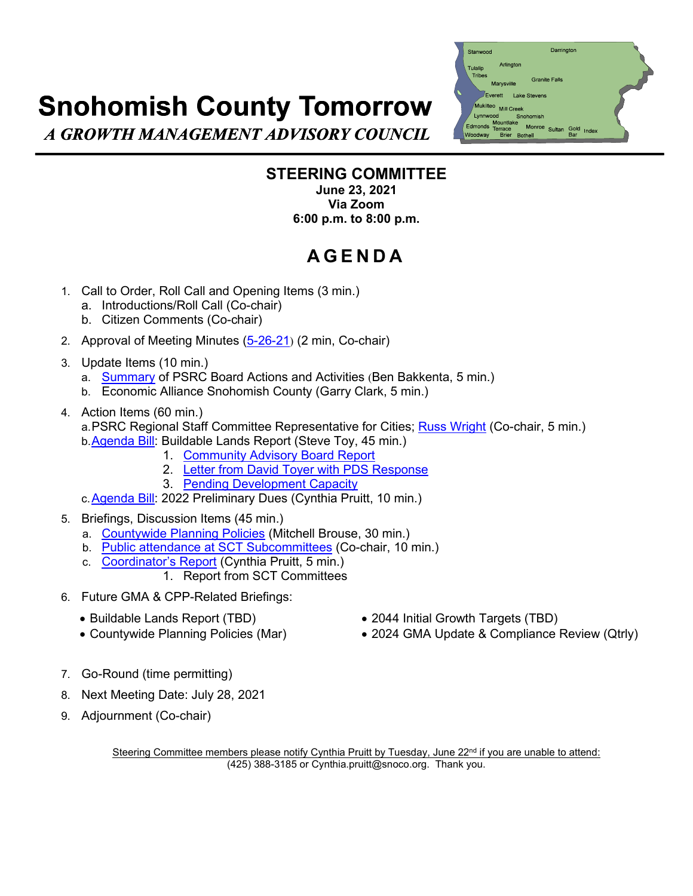## **Snohomish County Tomorrow**



A GROWTH MANAGEMENT ADVISORY COUNCIL

## **STEERING COMMITTEE**

**June 23, 2021 Via Zoom 6:00 p.m. to 8:00 p.m.**

## **AGEND A**

- 1. Call to Order, Roll Call and Opening Items (3 min.)
	- a. Introductions/Roll Call (Co-chair)
	- b. Citizen Comments (Co-chair)
- 2. Approval of Meeting Minutes [\(5-26-21](https://www.snohomishcountywa.gov/DocumentCenter/View/82989/MINd-SCT-SC-052621)) (2 min, Co-chair)
- 3. Update Items (10 min.)
	- a. [Summary](https://www.snohomishcountywa.gov/DocumentCenter/View/82994/PSRC-Board-Summary-2021may) of PSRC Board Actions and Activities (Ben Bakkenta, 5 min.)
	- b. Economic Alliance Snohomish County (Garry Clark, 5 min.)
- 4. Action Items (60 min.)

a.PSRC Regional Staff Committee Representative for Cities; [Russ Wright](https://www.snohomishcountywa.gov/DocumentCenter/View/82984/Bio-Wright) (Co-chair, 5 min.) b. Agenda Bill: Buildable Lands Report (Steve Toy, 45 min.)

- 1. [Community Advisory Board Report](https://www.snohomishcountywa.gov/DocumentCenter/View/82987/CAB-Recommendation-BLR-2021_May-20-Meeting)
- 2. [Letter from David Toyer with](https://www.snohomishcountywa.gov/DocumentCenter/View/83001/BLR-Letter-Toyer-SCT-with-Annotated-Maps-003) PDS Response
- 3. [Pending Development Capacity](https://www.snohomishcountywa.gov/DocumentCenter/View/82985/BLR-Pending-Development-Capacity---Example-Handout-002)
- c[.Agenda Bill:](https://www.snohomishcountywa.gov/DocumentCenter/View/82982/Agenda-Bill-2022-Dues-PREL-3-6-23-21) 2022 Preliminary Dues (Cynthia Pruitt, 10 min.)
- 5. Briefings, Discussion Items (45 min.)
	- a. [Countywide Planning Policies](https://www.snohomishcountywa.gov/DocumentCenter/View/83000/PAC-CPP-Combined) (Mitchell Brouse, 30 min.)
	- b. [Public attendance at SCT Subcommittees](https://www.snohomishcountywa.gov/DocumentCenter/View/82995/Toyer-Letter-to-SCT-Regarding-Open-Meetings) (Co-chair, 10 min.)
	- c. [Coordinator's Report](https://www.snohomishcountywa.gov/DocumentCenter/View/82988/Committee-reports-for-May-2021) (Cynthia Pruitt, 5 min.)
		- 1. Report from SCT Committees
- 6. Future GMA & CPP-Related Briefings:
	- -
	- Buildable Lands Report (TBD) 2044 Initial Growth Targets (TBD)
	- Countywide Planning Policies (Mar) 2024 GMA Update & Compliance Review (Qtrly)
- 7. Go-Round (time permitting)
- 8. Next Meeting Date: July 28, 2021
- 9. Adjournment (Co-chair)

Steering Committee members please notify Cynthia Pruitt by Tuesday, June 22<sup>nd</sup> if you are unable to attend: (425) 388-3185 or Cynthia.pruitt@snoco.org. Thank you.